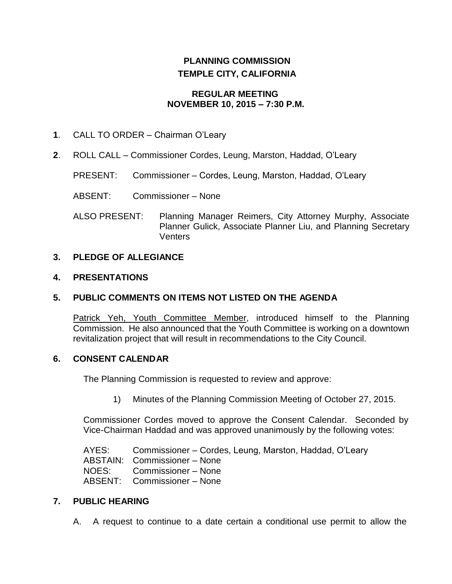# **PLANNING COMMISSION TEMPLE CITY, CALIFORNIA**

#### **REGULAR MEETING NOVEMBER 10, 2015 – 7:30 P.M.**

- **1**. CALL TO ORDER Chairman O'Leary
- **2**. ROLL CALL Commissioner Cordes, Leung, Marston, Haddad, O'Leary
	- PRESENT: Commissioner Cordes, Leung, Marston, Haddad, O'Leary
	- ABSENT: Commissioner None
	- ALSO PRESENT: Planning Manager Reimers, City Attorney Murphy, Associate Planner Gulick, Associate Planner Liu, and Planning Secretary **Venters**

# **3. PLEDGE OF ALLEGIANCE**

## **4. PRESENTATIONS**

# **5. PUBLIC COMMENTS ON ITEMS NOT LISTED ON THE AGENDA**

Patrick Yeh, Youth Committee Member, introduced himself to the Planning Commission. He also announced that the Youth Committee is working on a downtown revitalization project that will result in recommendations to the City Council.

#### **6. CONSENT CALENDAR**

The Planning Commission is requested to review and approve:

1) Minutes of the Planning Commission Meeting of October 27, 2015.

Commissioner Cordes moved to approve the Consent Calendar. Seconded by Vice-Chairman Haddad and was approved unanimously by the following votes:

AYES: Commissioner – Cordes, Leung, Marston, Haddad, O'Leary ABSTAIN: Commissioner – None NOES: Commissioner – None ABSENT: Commissioner – None

#### **7. PUBLIC HEARING**

A. A request to continue to a date certain a conditional use permit to allow the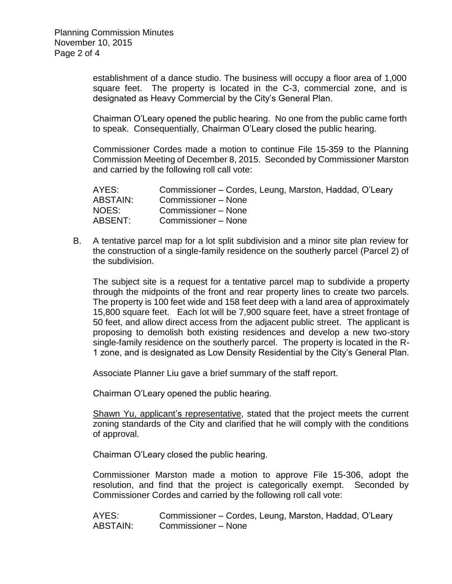establishment of a dance studio. The business will occupy a floor area of 1,000 square feet. The property is located in the C-3, commercial zone, and is designated as Heavy Commercial by the City's General Plan.

Chairman O'Leary opened the public hearing. No one from the public came forth to speak. Consequentially, Chairman O'Leary closed the public hearing.

Commissioner Cordes made a motion to continue File 15-359 to the Planning Commission Meeting of December 8, 2015. Seconded by Commissioner Marston and carried by the following roll call vote:

| AYES:           | Commissioner – Cordes, Leung, Marston, Haddad, O'Leary |
|-----------------|--------------------------------------------------------|
| <b>ABSTAIN:</b> | Commissioner – None                                    |
| NOES:           | Commissioner - None                                    |
| ABSENT:         | Commissioner - None                                    |

B. A tentative parcel map for a lot split subdivision and a minor site plan review for the construction of a single-family residence on the southerly parcel (Parcel 2) of the subdivision.

The subject site is a request for a tentative parcel map to subdivide a property through the midpoints of the front and rear property lines to create two parcels. The property is 100 feet wide and 158 feet deep with a land area of approximately 15,800 square feet. Each lot will be 7,900 square feet, have a street frontage of 50 feet, and allow direct access from the adjacent public street. The applicant is proposing to demolish both existing residences and develop a new two-story single-family residence on the southerly parcel. The property is located in the R-1 zone, and is designated as Low Density Residential by the City's General Plan.

Associate Planner Liu gave a brief summary of the staff report.

Chairman O'Leary opened the public hearing.

Shawn Yu, applicant's representative, stated that the project meets the current zoning standards of the City and clarified that he will comply with the conditions of approval.

Chairman O'Leary closed the public hearing.

Commissioner Marston made a motion to approve File 15-306, adopt the resolution, and find that the project is categorically exempt. Seconded by Commissioner Cordes and carried by the following roll call vote:

AYES: Commissioner – Cordes, Leung, Marston, Haddad, O'Leary ABSTAIN: Commissioner – None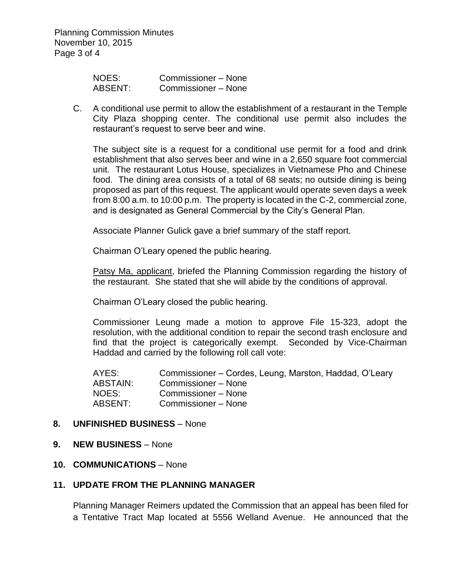Planning Commission Minutes November 10, 2015 Page 3 of 4

| NOES:   | Commissioner – None |
|---------|---------------------|
| ABSENT: | Commissioner - None |

C. A conditional use permit to allow the establishment of a restaurant in the Temple City Plaza shopping center. The conditional use permit also includes the restaurant's request to serve beer and wine.

The subject site is a request for a conditional use permit for a food and drink establishment that also serves beer and wine in a 2,650 square foot commercial unit. The restaurant Lotus House, specializes in Vietnamese Pho and Chinese food. The dining area consists of a total of 68 seats; no outside dining is being proposed as part of this request. The applicant would operate seven days a week from 8:00 a.m. to 10:00 p.m. The property is located in the C-2, commercial zone, and is designated as General Commercial by the City's General Plan.

Associate Planner Gulick gave a brief summary of the staff report.

Chairman O'Leary opened the public hearing.

Patsy Ma, applicant, briefed the Planning Commission regarding the history of the restaurant. She stated that she will abide by the conditions of approval.

Chairman O'Leary closed the public hearing.

Commissioner Leung made a motion to approve File 15-323, adopt the resolution, with the additional condition to repair the second trash enclosure and find that the project is categorically exempt. Seconded by Vice-Chairman Haddad and carried by the following roll call vote:

AYES: Commissioner – Cordes, Leung, Marston, Haddad, O'Leary ABSTAIN: Commissioner – None NOES: Commissioner – None ABSENT: Commissioner – None

#### **8. UNFINISHED BUSINESS** – None

#### **9. NEW BUSINESS** – None

#### **10. COMMUNICATIONS** – None

### **11. UPDATE FROM THE PLANNING MANAGER**

Planning Manager Reimers updated the Commission that an appeal has been filed for a Tentative Tract Map located at 5556 Welland Avenue. He announced that the